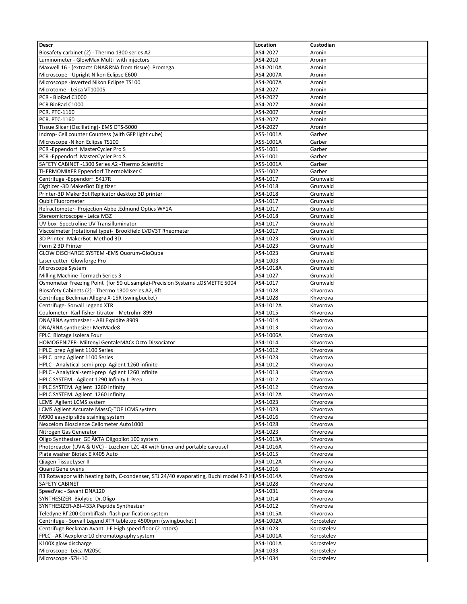| <b>Descr</b>                                                                                     | Location  | Custodian  |
|--------------------------------------------------------------------------------------------------|-----------|------------|
|                                                                                                  |           |            |
| Biosafety carbinet (2) - Thermo 1300 series A2                                                   | AS4-2027  | Aronin     |
| Luminometer - GlowMax Multi with injectors                                                       | AS4-2010  | Aronin     |
| Maxwell 16 - (extracts DNA&RNA from tissue) Promega                                              | AS4-2010A | Aronin     |
| Microscope - Upright Nikon Eclipse E600                                                          | AS4-2007A | Aronin     |
| Microscope -Inverted Nikon Eclipse TS100                                                         | AS4-2007A | Aronin     |
| Microtome - Leica VT1000S                                                                        | AS4-2027  | Aronin     |
| PCR - BioRad C1000                                                                               | AS4-2027  | Aronin     |
|                                                                                                  |           |            |
| PCR BioRad C1000                                                                                 | AS4-2027  | Aronin     |
| <b>PCR. PTC-1160</b>                                                                             | AS4-2007  | Aronin     |
| PCR. PTC-1160                                                                                    | AS4-2027  | Aronin     |
| Tissue Slicer (Oscillating)- EMS OTS-5000                                                        | AS4-2027  | Aronin     |
| Indrop- Cell counter Countess (with GFP light cube)                                              | AS5-1001A | Garber     |
| Microscope - Nikon Eclipse TS100                                                                 | AS5-1001A | Garber     |
| PCR-Eppendorf MasterCycler Pro S                                                                 | AS5-1001  | Garber     |
|                                                                                                  |           |            |
| PCR-Eppendorf MasterCycler Pro S                                                                 | AS5-1001  | Garber     |
| SAFETY CABINET -1300 Series A2 -Thermo Scientific                                                | AS5-1001A | Garber     |
| THERMOMIXER Eppendorf ThermoMixer C                                                              | AS5-1002  | Garber     |
| Centrifuge-Eppendorf 5417R                                                                       | AS4-1017  | Grunwald   |
| Digitizer - 3D MakerBot Digitizer                                                                | AS4-1018  | Grunwald   |
| Printer-3D MakerBot Replicator desktop 3D printer                                                | AS4-1018  | Grunwald   |
| <b>Qubit Fluorometer</b>                                                                         | AS4-1017  | Grunwald   |
|                                                                                                  |           |            |
| Refractometer- Projection Abbe , Edmund Optics WY1A                                              | AS4-1017  | Grunwald   |
| Stereomicroscope - Leica M3Z                                                                     | AS4-1018  | Grunwald   |
| UV box- Spectroline UV Transilluminator                                                          | AS4-1017  | Grunwald   |
| Viscosimeter (rotational type)- Brookfield LVDV3T Rheometer                                      | AS4-1017  | Grunwald   |
| 3D Printer - MakerBot Method 3D                                                                  | AS4-1023  | Grunwald   |
| Form 2 3D Printer                                                                                | AS4-1023  | Grunwald   |
| GLOW DISCHARGE SYSTEM -EMS Quorum-GloQube                                                        | AS4-1023  | Grunwald   |
| Laser cutter - Glowforge Pro                                                                     | AS4-1003  | Grunwald   |
|                                                                                                  |           |            |
| Microscope System                                                                                | AS4-1018A | Grunwald   |
| Milling Machine-Tormach Series 3                                                                 | AS4-1027  | Grunwald   |
| Osmometer Freezing Point (for 50 uL sample)-Precision Systems µOSMETTE 5004                      | AS4-1017  | Grunwald   |
| Biosafety Cabinets (2) - Thermo 1300 series A2, 6ft                                              | AS4-1028  | Khvorova   |
| Centrifuge Beckman Allegra X-15R (swingbucket)                                                   | AS4-1028  | Khvorova   |
| Centrifuge- Sorvall Legend XTR                                                                   | AS4-1012A | Khvorova   |
| Coulometer- Karl fisher titrator - Metrohm 899                                                   | AS4-1015  | Khvorova   |
| DNA/RNA synthesizer - ABI Expidite 8909                                                          |           |            |
|                                                                                                  | AS4-1014  | Khvorova   |
| DNA/RNA synthesizer MerMade8                                                                     | AS4-1013  | Khvorova   |
| FPLC Biotage Isolera Four                                                                        | AS4-1006A | Khvorova   |
| HOMOGENIZER- Miltenyi GentaleMACs Octo Dissociator                                               | AS4-1014  | Khvorova   |
| HPLC prep Agilent 1100 Series                                                                    | AS4-1012  | Khvorova   |
| HPLC prep Agilent 1100 Series                                                                    | AS4-1023  | Khvorova   |
| HPLC - Analytical-semi-prep Agilent 1260 infinite                                                | AS4-1012  | Khvorova   |
| HPLC - Analytical-semi-prep Agilent 1260 infinite                                                | AS4-1013  | Khvorova   |
| HPLC SYSTEM - Agilent 1290 Infinity II Prep                                                      | AS4-1012  | Khvorova   |
|                                                                                                  |           |            |
| HPLC SYSTEM. Agilent 1260 Infinity                                                               | AS4-1012  | Khvorova   |
| HPLC SYSTEM. Agilent 1260 Infinity                                                               | AS4-1012A | Khvorova   |
| LCMS Agilent LCMS system                                                                         | AS4-1023  | Khvorova   |
| LCMS Agilent Accurate MassQ-TOF LCMS system                                                      | AS4-1023  | Khvorova   |
| M900 easydip slide staining system                                                               | AS4-1016  | Khvorova   |
| Nexcelom Bioscience Cellometer Auto1000                                                          | AS4-1028  | Khvorova   |
| Nitrogen Gas Generator                                                                           | AS4-1023  | Khvorova   |
|                                                                                                  |           |            |
| Oligo Synthesizer GE ÄKTA Oligopilot 100 system                                                  | AS4-1013A | Khvorova   |
| Photoreactor (UVA & UVC) - Luzchem LZC-4X with timer and portable carousel                       | AS4-1016A | Khvorova   |
| Plate washer Biotek EIX405 Auto                                                                  | AS4-1015  | Khvorova   |
| Qiagen TissueLyser II                                                                            | AS4-1012A | Khvorova   |
| QuantiGene ovens                                                                                 | AS4-1016  | Khvorova   |
| R3 Rotavapor with heating bath, C-condenser, STJ 24/40 evaporating, Buchi model R-3 HJ AS4-1014A |           | Khvorova   |
| SAFETY CABINET                                                                                   | AS4-1028  | Khvorova   |
|                                                                                                  |           |            |
| SpeedVac - Savant DNA120                                                                         | AS4-1031  | Khvorova   |
| SYNTHESIZER - Biolytic - Dr. Oligo                                                               | AS4-1014  | Khvorova   |
| SYNTHESIZER-ABI-433A Peptide Synthesizer                                                         | AS4-1012  | Khvorova   |
| Teledyne Rf 200 Combiflash, flash purification system                                            | AS4-1015A | Khvorova   |
| Centrifuge - Sorvall Legend XTR tabletop 4500rpm (swingbucket)                                   | AS4-1002A | Korostelev |
| Centrifuge Beckman Avanti J-E High speed floor (2 rotors)                                        | AS4-1023  | Korostelev |
| FPLC - AKTAexplorer10 chromatography system                                                      | AS4-1001A | Korostelev |
| K100X glow discharge                                                                             | AS4-1001A | Korostelev |
|                                                                                                  |           |            |
| Microscope - Leica M205C                                                                         | AS4-1033  | Korostelev |
| Microscope - SZH-10                                                                              | AS4-1034  | Korostelev |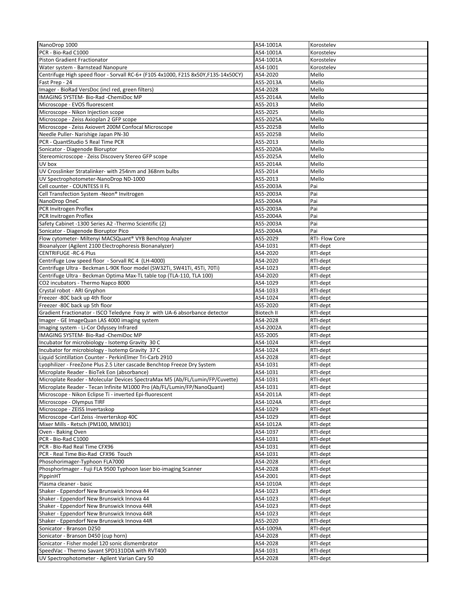| NanoDrop 1000                                                                      | AS4-1001A  | Korostelev     |
|------------------------------------------------------------------------------------|------------|----------------|
| PCR - Bio-Rad C1000                                                                | AS4-1001A  | Korostelev     |
| Piston Gradient Fractionator                                                       | AS4-1001A  | Korostelev     |
| Water system - Barnstead Nanopure                                                  | AS4-1001   | Korostelev     |
| Centrifuge High speed floor - Sorvall RC-6+ (F10S 4x1000, F21S 8x50Y,F13S-14x50CY) | AS4-2020   | Mello          |
| Fast Prep - 24                                                                     | AS5-2013A  | Mello          |
| Imager - BioRad VersDoc (incl red, green filters)                                  | AS4-2028   | Mello          |
| IMAGING SYSTEM- Bio-Rad -ChemiDoc MP                                               | AS5-2014A  | Mello          |
|                                                                                    |            | Mello          |
| Microscope - EVOS fluorescent                                                      | AS5-2013   |                |
| Microscope - Nikon Injection scope                                                 | AS5-2025   | Mello          |
| Microscope - Zeiss Axioplan 2 GFP scope                                            | AS5-2025A  | Mello          |
| Microscope - Zeiss Axiovert 200M Confocal Microscope                               | AS5-2025B  | Mello          |
| Needle Puller- Narishige Japan PN-30                                               | AS5-2025B  | Mello          |
| PCR - QuantStudio 5 Real Time PCR                                                  | AS5-2013   | Mello          |
| Sonicator - Diagenode Bioruptor                                                    | AS5-2020A  | Mello          |
| Stereomicroscope - Zeiss Discovery Stereo GFP scope                                | AS5-2025A  | Mello          |
| UV box                                                                             | AS5-2014A  | Mello          |
| UV Crosslinker Stratalinker- with 254nm and 368nm bulbs                            | AS5-2014   | Mello          |
| UV Spectrophotometer-NanoDrop ND-1000                                              | AS5-2013   | Mello          |
| Cell counter - COUNTESS II FL                                                      | AS5-2003A  | Pai            |
| Cell Transfection System -Neon <sup>®</sup> Invitrogen                             | AS5-2003A  | Pai            |
|                                                                                    |            |                |
| NanoDrop OneC                                                                      | AS5-2004A  | Pai            |
| PCR Invitrogen Proflex                                                             | AS5-2003A  | Pai            |
| PCR Invitrogen Proflex                                                             | AS5-2004A  | Pai            |
| Safety Cabinet -1300 Series A2 -Thermo Scientific (2)                              | AS5-2003A  | Pai            |
| Sonicator - Diagenode Bioruptor Pico                                               | AS5-2004A  | Pai            |
| Flow cytometer- Miltenyi MACSQuant® VYB Benchtop Analyzer                          | AS5-2029   | RTI- Flow Core |
| Bioanalyzer (Agilent 2100 Electrophoresis Bionanalyzer)                            | AS4-1031   | RTI-dept       |
| <b>CENTRIFUGE - RC-6 Plus</b>                                                      | AS4-2020   | RTI-dept       |
| Centrifuge Low speed floor - Sorvall RC 4 (LH-4000)                                | AS4-2020   | RTI-dept       |
| Centrifuge Ultra - Beckman L-90K floor model (SW32Ti, SW41Ti, 45Ti, 70Ti)          | AS4-1023   | RTI-dept       |
| Centrifuge Ultra - Beckman Optima Max-TL table top (TLA-110, TLA 100)              | AS4-2020   | RTI-dept       |
|                                                                                    |            |                |
| CO2 incubators - Thermo Napco 8000                                                 | AS4-1029   | RTI-dept       |
| Crystal robot - ARI Gryphon                                                        | AS4-1033   | RTI-dept       |
| Freezer -80C back up 4th floor                                                     | AS4-1024   | RTI-dept       |
| Freezer -80C back up 5th floor                                                     | AS5-2020   | RTI-dept       |
| Gradient Fractionator - ISCO Teledyne Foxy Jr with UA-6 absorbance detector        | Biotech II | RTI-dept       |
| Imager - GE ImageQuan LAS 4000 imaging system                                      | AS4-2028   | RTI-dept       |
| Imaging system - Li-Cor Odyssey Infrared                                           | AS4-2002A  | RTI-dept       |
| IMAGING SYSTEM- Bio-Rad -ChemiDoc MP                                               | AS5-2005   | RTI-dept       |
| Incubator for microbiology - Isotemp Gravity 30 C                                  | AS4-1024   | RTI-dept       |
| Incubator for microbiology - Isotemp Gravity 37 C                                  | AS4-1024   | RTI-dept       |
| Liquid Scintillation Counter - PerkinElmer Tri-Carb 2910                           | AS4-2028   | RTI-dept       |
| Lyophilizer - FreeZone Plus 2.5 Liter cascade Benchtop Freeze Dry System           | AS4-1031   | RTI-dept       |
| Microplate Reader - BioTek Eon (absorbance)                                        | AS4-1031   |                |
|                                                                                    |            | RTI-dept       |
| Microplate Reader - Molecular Devices SpectraMax M5 (Ab/FL/Lumin/FP/Cuvette)       | AS4-1031   | RTI-dept       |
| Microplate Reader - Tecan Infinite M1000 Pro (Ab/FL/Lumin/FP/NanoQuant)            | AS4-1031   | RTI-dept       |
| Microscope - Nikon Eclipse Ti - inverted Epi-fluorescent                           | AS4-2011A  | RTI-dept       |
| Microscope - Olympus TIRF                                                          | AS4-1024A  | RTI-dept       |
| Microscope - ZEISS Invertaskop                                                     | AS4-1029   | RTI-dept       |
| Microscope - Carl Zeiss - Inverterskop 40C                                         | AS4-1029   | RTI-dept       |
| Mixer Mills - Retsch (PM100, MM301)                                                | AS4-1012A  | RTI-dept       |
| Oven - Baking Oven                                                                 | AS4-1037   | RTI-dept       |
| PCR - Bio-Rad C1000                                                                | AS4-1031   | RTI-dept       |
| PCR - Blo-Rad Real Time CFX96                                                      | AS4-1031   | RTI-dept       |
| PCR - Real Time Bio-Rad CFX96 Touch                                                | AS4-1031   | RTI-dept       |
| Phosohorimager-Typhoon FLA7000                                                     | AS4-2028   |                |
|                                                                                    |            | RTI-dept       |
| PhosphorImager - Fuji FLA 9500 Typhoon laser bio-imaging Scanner                   | AS4-2028   | RTI-dept       |
| PippinHT                                                                           | AS4-2001   | RTI-dept       |
| Plasma cleaner - basic                                                             | AS4-1010A  | RTI-dept       |
| Shaker - Eppendorf New Brunswick Innova 44                                         | AS4-1023   | RTI-dept       |
| Shaker - Eppendorf New Brunswick Innova 44                                         | AS4-1023   | RTI-dept       |
| Shaker - Eppendorf New Brunswick Innova 44R                                        | AS4-1023   | RTI-dept       |
| Shaker - Eppendorf New Brunswick Innova 44R                                        | AS4-1023   | RTI-dept       |
| Shaker - Eppendorf New Brunswick Innova 44R                                        | AS5-2020   | RTI-dept       |
| Sonicator - Branson D250                                                           | AS4-1009A  | RTI-dept       |
| Sonicator - Branson D450 (cup horn)                                                | AS4-2028   | RTI-dept       |
| Sonicator - Fisher model 120 sonic dismembrator                                    | AS4-2028   | RTI-dept       |
| SpeedVac - Thermo Savant SPD131DDA with RVT400                                     | AS4-1031   | RTI-dept       |
|                                                                                    |            |                |
| UV Spectrophotometer - Agilent Varian Cary 50                                      | AS4-2028   | RTI-dept       |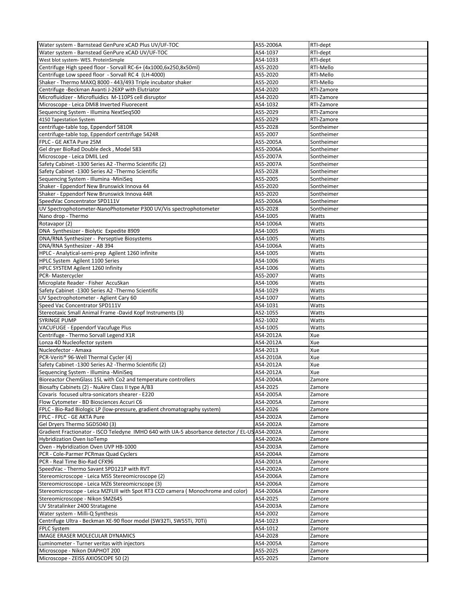| Water system - Barnstead GenPure xCAD Plus UV/UF-TOC                                           | AS5-2006A            | RTI-dept   |
|------------------------------------------------------------------------------------------------|----------------------|------------|
| Water system - Barnstead GenPure xCAD UV/UF-TOC                                                | AS4-1037             | RTI-dept   |
| West blot system- WES. ProteinSimple                                                           | AS4-1033             | RTI-dept   |
|                                                                                                | AS5-2020             |            |
| Centrifuge High speed floor - Sorvall RC-6+ (4x1000,6x250,8x50ml)                              |                      | RTI-Mello  |
| Centrifuge Low speed floor - Sorvall RC 4 (LH-4000)                                            | AS5-2020             | RTI-Mello  |
| Shaker - Thermo MAXQ 8000 - 443/493 Triple incubator shaker                                    | AS5-2020             | RTI-Mello  |
| Centrifuge -Beckman Avanti J-26XP with Elutriator                                              | AS4-2020             | RTI-Zamore |
| Microfluidizer - Microfluidics M-110PS cell disruptor                                          | AS4-2020             | RTI-Zamore |
|                                                                                                |                      |            |
| Microscope - Leica DMi8 Inverted Fluorecent                                                    | AS4-1032             | RTI-Zamore |
| Sequencing System - Illumina NextSeq500                                                        | AS5-2029             | RTI-Zamore |
| 4150 Tapestation System                                                                        | AS5-2029             | RTI-Zamore |
| centrifuge-table top, Eppendorf 5810R                                                          | AS5-2028             | Sontheimer |
|                                                                                                |                      |            |
| centrifuge-table top, Eppendorf centrifuge 5424R                                               | AS5-2007             | Sontheimer |
| FPLC - GE AKTA Pure 25M                                                                        | AS5-2005A            | Sontheimer |
| Gel dryer BioRad Double deck, Model 583                                                        | AS5-2006A            | Sontheimer |
| Microscope - Leica DMIL Led                                                                    | AS5-2007A            | Sontheimer |
|                                                                                                |                      |            |
| Safety Cabinet -1300 Series A2 -Thermo Scientific (2)                                          | AS5-2007A            | Sontheimer |
| Safety Cabinet -1300 Series A2 -Thermo Scientific                                              | AS5-2028             | Sontheimer |
| Sequencing System - Illumina -MiniSeq                                                          | AS5-2005             | Sontheimer |
| Shaker - Eppendorf New Brunswick Innova 44                                                     | AS5-2020             | Sontheimer |
|                                                                                                |                      |            |
| Shaker - Eppendorf New Brunswick Innova 44R                                                    | AS5-2020             | Sontheimer |
| SpeedVac Concentrator SPD111V                                                                  | AS5-2006A            | Sontheimer |
| UV Spectrophotometer-NanoPhotometer P300 UV/Vis spectrophotometer                              | AS5-2028             | Sontheimer |
| Nano drop - Thermo                                                                             | AS4-1005             | Watts      |
|                                                                                                |                      |            |
| Rotavapor (2)                                                                                  | AS4-1006A            | Watts      |
| DNA Synthesizer - Biolytic Expedite 8909                                                       | AS4-1005             | Watts      |
| DNA/RNA Synthesizer - Perseptive Biosystems                                                    | AS4-1005             | Watts      |
| DNA/RNA Synthesizer - AB 394                                                                   | AS4-1006A            | Watts      |
|                                                                                                |                      |            |
| HPLC - Analytical-semi-prep Agilent 1260 infinite                                              | AS4-1005             | Watts      |
| HPLC System Agilent 1100 Series                                                                | AS4-1006             | Watts      |
| HPLC SYSTEM Agilent 1260 Infinity                                                              | AS4-1006             | Watts      |
| PCR- Mastercycler                                                                              | AS5-2007             | Watts      |
|                                                                                                |                      |            |
| Microplate Reader - Fisher AccuSkan                                                            | AS4-1006             | Watts      |
| Safety Cabinet -1300 Series A2 -Thermo Scientific                                              | AS4-1029             | Watts      |
| UV Spectrophotometer - Aglient Cary 60                                                         | AS4-1007             | Watts      |
| Speed Vac Concentrator SPD111V                                                                 | AS4-1031             | Watts      |
| Stereotaxic Small Animal Frame -David Kopf Instruments (3)                                     | AS2-1055             | Watts      |
|                                                                                                |                      |            |
| <b>SYRINGE PUMP</b>                                                                            | AS2-1002             | Watts      |
| VACUFUGE - Eppendorf Vacufuge Plus                                                             | AS4-1005             | Watts      |
| Centrifuge - Thermo Sorvall Legend X1R                                                         | AS4-2012A            | Xue        |
| Lonza 4D Nucleofector system                                                                   | AS4-2012A            | Xue        |
|                                                                                                |                      |            |
| Nucleofector - Amaxa                                                                           | AS4-2013             | Xue        |
| PCR-Veriti® 96-Well Thermal Cycler (4)                                                         | AS4-2010A            | Xue        |
| Safety Cabinet -1300 Series A2 -Thermo Scientific (2)                                          | AS4-2012A            | Xue        |
| Sequencing System - Illumina -MiniSeq                                                          | AS4-2012A            | Xue        |
| Bioreactor ChemGlass 15L with Co2 and temperature controllers                                  | AS4-2004A            | Zamore     |
|                                                                                                |                      |            |
| Biosafty Cabinets (2) - NuAire Class II type A/B3                                              | AS4-2025             | Zamore     |
| Covaris focused ultra-sonicators shearer - E220                                                | AS4-2005A            | Zamore     |
| Flow Cytometer - BD Biosciences Accuri C6                                                      | AS4-2005A            | Zamore     |
| FPLC - Bio-Rad Biologic LP (low-pressure, gradient chromatography system)                      | AS4-2026             | Zamore     |
| FPLC - FPLC - GE AKTA Pure                                                                     | AS4-2002A            | Zamore     |
|                                                                                                |                      |            |
| Gel Dryers Thermo SGD5040 (3)                                                                  | AS4-2002A            | Zamore     |
| Gradient Fractionator - ISCO Teledyne IMHO 640 with UA-5 absorbance detector / EL-US AS4-2002A |                      | Zamore     |
| <b>Hybridization Oven IsoTemp</b>                                                              | AS4-2002A            | Zamore     |
| Oven - Hybridization Oven UVP HB-1000                                                          | AS4-2003A            | Zamore     |
|                                                                                                |                      |            |
| PCR - Cole-Parmer PCRmax Quad Cyclers                                                          | AS4-2004A            | Zamore     |
| PCR - Real Time Bio-Rad CFX96                                                                  | AS4-2001A            | Zamore     |
| SpeedVac - Thermo Savant SPD121P with RVT                                                      | AS4-2002A            | Zamore     |
| Stereomicroscope - Leica MS5 Stereomicroscope (2)                                              | AS4-2006A            | Zamore     |
|                                                                                                |                      |            |
| Stereomicroscope - Leica MZ6 Stereomicrscope (3)                                               | AS4-2006A            | Zamore     |
| Stereomicroscope - Leica MZFLIII with Spot RT3 CCD camera ( Monochrome and color)              | AS4-2006A            | Zamore     |
| Stereomicroscope - Nikon SMZ645                                                                | AS4-2025             | Zamore     |
| UV Stratalinker 2400 Stratagene                                                                | AS4-2003A            | Zamore     |
| Water system - Milli-Q Synthesis                                                               | AS4-2002             |            |
|                                                                                                |                      | Zamore     |
| Centrifuge Ultra - Beckman XE-90 floor model (SW32Ti, SW55Ti, 70Ti)                            | AS4-1023             | Zamore     |
| <b>FPLC System</b>                                                                             | AS4-1012             | Zamore     |
| <b>IMAGE ERASER MOLECULAR DYNAMICS</b>                                                         | AS4-2028             | Zamore     |
| Luminometer - Turner veritas with injectors                                                    | AS4-2005A            | Zamore     |
| Microscope - Nikon DIAPHOT 200                                                                 |                      |            |
| Microscope - ZEISS AXIOSCOPE 50 (2)                                                            | AS5-2025<br>AS5-2025 | Zamore     |
|                                                                                                |                      | Zamore     |